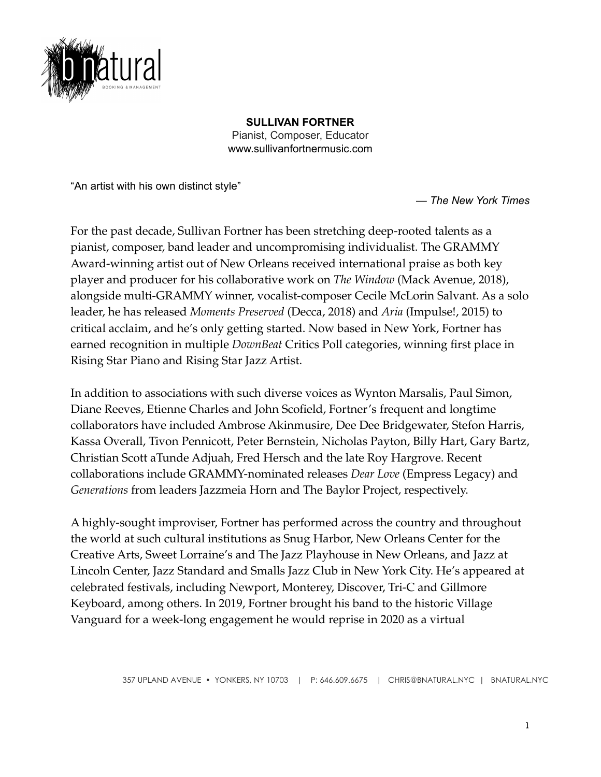

**SULLIVAN FORTNER** Pianist, Composer, Educator www.sullivanfortnermusic.com

"An artist with his own distinct style"

— *The New York Times*

For the past decade, Sullivan Fortner has been stretching deep-rooted talents as a pianist, composer, band leader and uncompromising individualist. The GRAMMY Award-winning artist out of New Orleans received international praise as both key player and producer for his collaborative work on *The Window* (Mack Avenue, 2018), alongside multi-GRAMMY winner, vocalist-composer Cecile McLorin Salvant. As a solo leader, he has released *Moments Preserved* (Decca, 2018) and *Aria* (Impulse!, 2015) to critical acclaim, and he's only getting started. Now based in New York, Fortner has earned recognition in multiple *DownBeat* Critics Poll categories, winning first place in Rising Star Piano and Rising Star Jazz Artist.

In addition to associations with such diverse voices as Wynton Marsalis, Paul Simon, Diane Reeves, Etienne Charles and John Scofield, Fortner's frequent and longtime collaborators have included Ambrose Akinmusire, Dee Dee Bridgewater, Stefon Harris, Kassa Overall, Tivon Pennicott, Peter Bernstein, Nicholas Payton, Billy Hart, Gary Bartz, Christian Scott aTunde Adjuah, Fred Hersch and the late Roy Hargrove. Recent collaborations include GRAMMY-nominated releases *Dear Love* (Empress Legacy) and *Generations* from leaders Jazzmeia Horn and The Baylor Project, respectively.

A highly-sought improviser, Fortner has performed across the country and throughout the world at such cultural institutions as Snug Harbor, New Orleans Center for the Creative Arts, Sweet Lorraine's and The Jazz Playhouse in New Orleans, and Jazz at Lincoln Center, Jazz Standard and Smalls Jazz Club in New York City. He's appeared at celebrated festivals, including Newport, Monterey, Discover, Tri-C and Gillmore Keyboard, among others. In 2019, Fortner brought his band to the historic Village Vanguard for a week-long engagement he would reprise in 2020 as a virtual